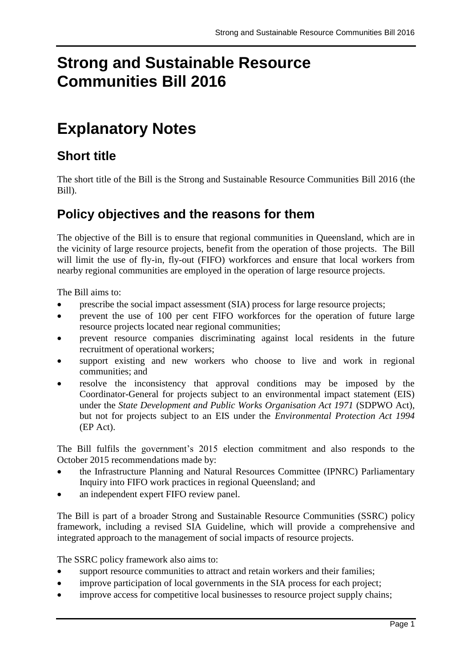# **Strong and Sustainable Resource Communities Bill 2016**

# **Explanatory Notes**

# **Short title**

The short title of the Bill is the Strong and Sustainable Resource Communities Bill 2016 (the Bill).

# **Policy objectives and the reasons for them**

The objective of the Bill is to ensure that regional communities in Queensland, which are in the vicinity of large resource projects, benefit from the operation of those projects. The Bill will limit the use of fly-in, fly-out (FIFO) workforces and ensure that local workers from nearby regional communities are employed in the operation of large resource projects.

The Bill aims to:

- prescribe the social impact assessment (SIA) process for large resource projects;
- prevent the use of 100 per cent FIFO workforces for the operation of future large resource projects located near regional communities;
- prevent resource companies discriminating against local residents in the future recruitment of operational workers;
- support existing and new workers who choose to live and work in regional communities; and
- resolve the inconsistency that approval conditions may be imposed by the Coordinator-General for projects subject to an environmental impact statement (EIS) under the *State Development and Public Works Organisation Act 1971* (SDPWO Act), but not for projects subject to an EIS under the *Environmental Protection Act 1994* (EP Act).

The Bill fulfils the government's 2015 election commitment and also responds to the October 2015 recommendations made by:

- the Infrastructure Planning and Natural Resources Committee (IPNRC) Parliamentary Inquiry into FIFO work practices in regional Queensland; and
- an independent expert FIFO review panel.

The Bill is part of a broader Strong and Sustainable Resource Communities (SSRC) policy framework, including a revised SIA Guideline, which will provide a comprehensive and integrated approach to the management of social impacts of resource projects.

The SSRC policy framework also aims to:

- support resource communities to attract and retain workers and their families;
- improve participation of local governments in the SIA process for each project;
- improve access for competitive local businesses to resource project supply chains;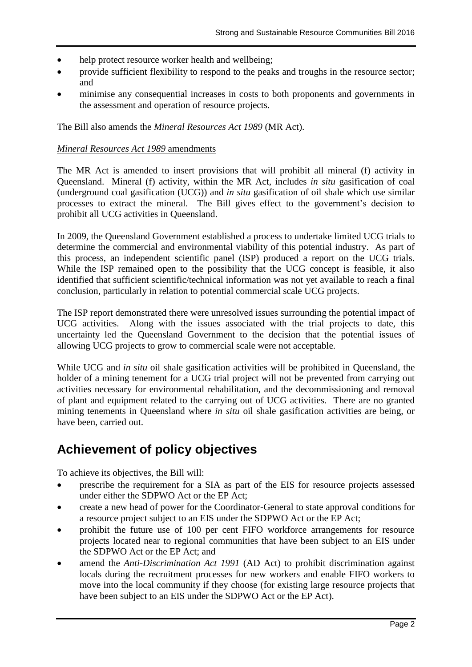- help protect resource worker health and wellbeing;
- provide sufficient flexibility to respond to the peaks and troughs in the resource sector; and
- minimise any consequential increases in costs to both proponents and governments in the assessment and operation of resource projects.

The Bill also amends the *Mineral Resources Act 1989* (MR Act).

#### *Mineral Resources Act 1989* amendments

The MR Act is amended to insert provisions that will prohibit all mineral (f) activity in Queensland. Mineral (f) activity, within the MR Act, includes *in situ* gasification of coal (underground coal gasification (UCG)) and *in situ* gasification of oil shale which use similar processes to extract the mineral. The Bill gives effect to the government's decision to prohibit all UCG activities in Queensland.

In 2009, the Queensland Government established a process to undertake limited UCG trials to determine the commercial and environmental viability of this potential industry. As part of this process, an independent scientific panel (ISP) produced a report on the UCG trials. While the ISP remained open to the possibility that the UCG concept is feasible, it also identified that sufficient scientific/technical information was not yet available to reach a final conclusion, particularly in relation to potential commercial scale UCG projects.

The ISP report demonstrated there were unresolved issues surrounding the potential impact of UCG activities. Along with the issues associated with the trial projects to date, this uncertainty led the Queensland Government to the decision that the potential issues of allowing UCG projects to grow to commercial scale were not acceptable.

While UCG and *in situ* oil shale gasification activities will be prohibited in Queensland, the holder of a mining tenement for a UCG trial project will not be prevented from carrying out activities necessary for environmental rehabilitation, and the decommissioning and removal of plant and equipment related to the carrying out of UCG activities. There are no granted mining tenements in Queensland where *in situ* oil shale gasification activities are being, or have been, carried out.

# **Achievement of policy objectives**

To achieve its objectives, the Bill will:

- prescribe the requirement for a SIA as part of the EIS for resource projects assessed under either the SDPWO Act or the EP Act;
- create a new head of power for the Coordinator-General to state approval conditions for a resource project subject to an EIS under the SDPWO Act or the EP Act;
- prohibit the future use of 100 per cent FIFO workforce arrangements for resource projects located near to regional communities that have been subject to an EIS under the SDPWO Act or the EP Act; and
- amend the *Anti-Discrimination Act 1991* (AD Act) to prohibit discrimination against locals during the recruitment processes for new workers and enable FIFO workers to move into the local community if they choose (for existing large resource projects that have been subject to an EIS under the SDPWO Act or the EP Act).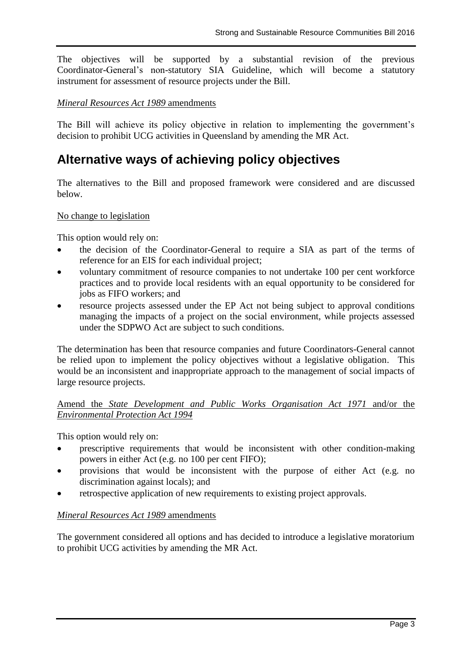The objectives will be supported by a substantial revision of the previous Coordinator-General's non-statutory SIA Guideline, which will become a statutory instrument for assessment of resource projects under the Bill.

### *Mineral Resources Act 1989* amendments

The Bill will achieve its policy objective in relation to implementing the government's decision to prohibit UCG activities in Queensland by amending the MR Act.

# **Alternative ways of achieving policy objectives**

The alternatives to the Bill and proposed framework were considered and are discussed below.

### No change to legislation

This option would rely on:

- the decision of the Coordinator-General to require a SIA as part of the terms of reference for an EIS for each individual project;
- voluntary commitment of resource companies to not undertake 100 per cent workforce practices and to provide local residents with an equal opportunity to be considered for jobs as FIFO workers; and
- resource projects assessed under the EP Act not being subject to approval conditions managing the impacts of a project on the social environment, while projects assessed under the SDPWO Act are subject to such conditions.

The determination has been that resource companies and future Coordinators-General cannot be relied upon to implement the policy objectives without a legislative obligation. This would be an inconsistent and inappropriate approach to the management of social impacts of large resource projects.

Amend the *State Development and Public Works Organisation Act 1971* and/or the *Environmental Protection Act 1994*

This option would rely on:

- prescriptive requirements that would be inconsistent with other condition-making powers in either Act (e.g. no 100 per cent FIFO);
- provisions that would be inconsistent with the purpose of either Act (e.g. no discrimination against locals); and
- retrospective application of new requirements to existing project approvals.

### *Mineral Resources Act 1989* amendments

The government considered all options and has decided to introduce a legislative moratorium to prohibit UCG activities by amending the MR Act.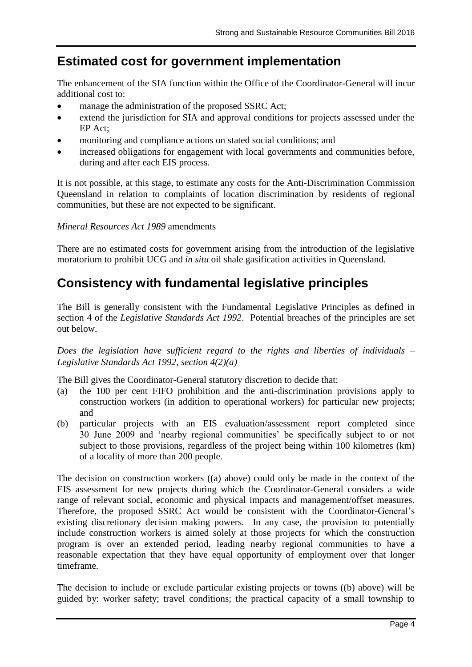# **Estimated cost for government implementation**

The enhancement of the SIA function within the Office of the Coordinator-General will incur additional cost to:

- manage the administration of the proposed SSRC Act;
- extend the jurisdiction for SIA and approval conditions for projects assessed under the EP Act;
- monitoring and compliance actions on stated social conditions; and
- increased obligations for engagement with local governments and communities before, during and after each EIS process.

It is not possible, at this stage, to estimate any costs for the Anti-Discrimination Commission Queensland in relation to complaints of location discrimination by residents of regional communities, but these are not expected to be significant.

## *Mineral Resources Act 1989* amendments

There are no estimated costs for government arising from the introduction of the legislative moratorium to prohibit UCG and *in situ* oil shale gasification activities in Queensland.

# **Consistency with fundamental legislative principles**

The Bill is generally consistent with the Fundamental Legislative Principles as defined in section 4 of the *Legislative Standards Act 1992*. Potential breaches of the principles are set out below.

*Does the legislation have sufficient regard to the rights and liberties of individuals – Legislative Standards Act 1992, section 4(2)(a)*

The Bill gives the Coordinator-General statutory discretion to decide that:

- (a) the 100 per cent FIFO prohibition and the anti-discrimination provisions apply to construction workers (in addition to operational workers) for particular new projects; and
- (b) particular projects with an EIS evaluation/assessment report completed since 30 June 2009 and 'nearby regional communities' be specifically subject to or not subject to those provisions, regardless of the project being within 100 kilometres (km) of a locality of more than 200 people.

The decision on construction workers ((a) above) could only be made in the context of the EIS assessment for new projects during which the Coordinator-General considers a wide range of relevant social, economic and physical impacts and management/offset measures. Therefore, the proposed SSRC Act would be consistent with the Coordinator-General's existing discretionary decision making powers. In any case, the provision to potentially include construction workers is aimed solely at those projects for which the construction program is over an extended period, leading nearby regional communities to have a reasonable expectation that they have equal opportunity of employment over that longer timeframe.

The decision to include or exclude particular existing projects or towns ((b) above) will be guided by: worker safety; travel conditions; the practical capacity of a small township to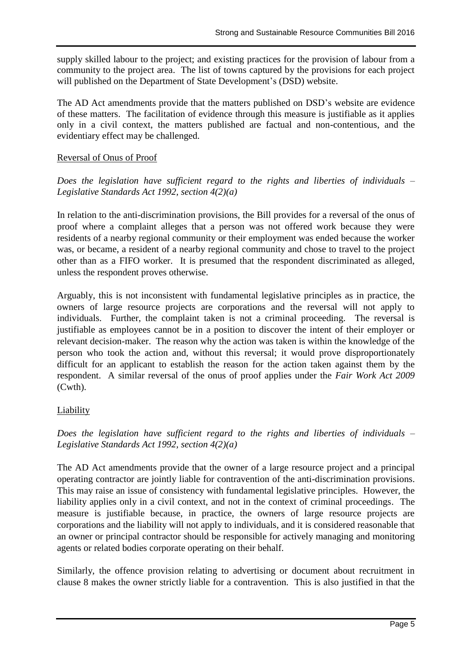supply skilled labour to the project; and existing practices for the provision of labour from a community to the project area. The list of towns captured by the provisions for each project will published on the Department of State Development's (DSD) website.

The AD Act amendments provide that the matters published on DSD's website are evidence of these matters. The facilitation of evidence through this measure is justifiable as it applies only in a civil context, the matters published are factual and non-contentious, and the evidentiary effect may be challenged.

### Reversal of Onus of Proof

*Does the legislation have sufficient regard to the rights and liberties of individuals – Legislative Standards Act 1992, section 4(2)(a)*

In relation to the anti-discrimination provisions, the Bill provides for a reversal of the onus of proof where a complaint alleges that a person was not offered work because they were residents of a nearby regional community or their employment was ended because the worker was, or became, a resident of a nearby regional community and chose to travel to the project other than as a FIFO worker. It is presumed that the respondent discriminated as alleged, unless the respondent proves otherwise.

Arguably, this is not inconsistent with fundamental legislative principles as in practice, the owners of large resource projects are corporations and the reversal will not apply to individuals. Further, the complaint taken is not a criminal proceeding. The reversal is justifiable as employees cannot be in a position to discover the intent of their employer or relevant decision-maker. The reason why the action was taken is within the knowledge of the person who took the action and, without this reversal; it would prove disproportionately difficult for an applicant to establish the reason for the action taken against them by the respondent. A similar reversal of the onus of proof applies under the *Fair Work Act 2009* (Cwth).

## Liability

*Does the legislation have sufficient regard to the rights and liberties of individuals – Legislative Standards Act 1992, section 4(2)(a)*

The AD Act amendments provide that the owner of a large resource project and a principal operating contractor are jointly liable for contravention of the anti-discrimination provisions. This may raise an issue of consistency with fundamental legislative principles. However, the liability applies only in a civil context, and not in the context of criminal proceedings. The measure is justifiable because, in practice, the owners of large resource projects are corporations and the liability will not apply to individuals, and it is considered reasonable that an owner or principal contractor should be responsible for actively managing and monitoring agents or related bodies corporate operating on their behalf.

Similarly, the offence provision relating to advertising or document about recruitment in clause 8 makes the owner strictly liable for a contravention. This is also justified in that the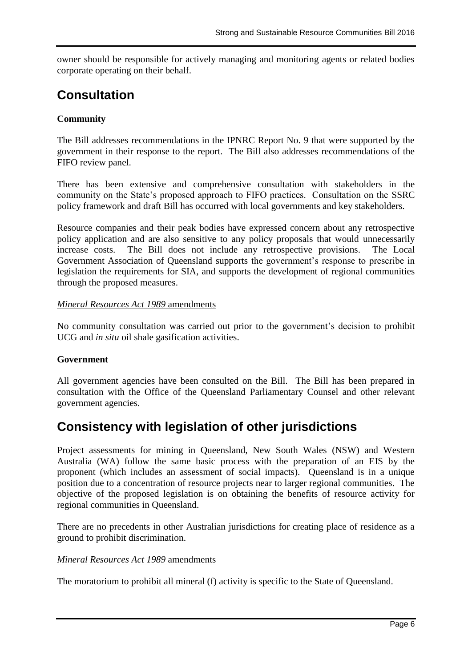owner should be responsible for actively managing and monitoring agents or related bodies corporate operating on their behalf.

# **Consultation**

# **Community**

The Bill addresses recommendations in the IPNRC Report No. 9 that were supported by the government in their response to the report. The Bill also addresses recommendations of the FIFO review panel.

There has been extensive and comprehensive consultation with stakeholders in the community on the State's proposed approach to FIFO practices. Consultation on the SSRC policy framework and draft Bill has occurred with local governments and key stakeholders.

Resource companies and their peak bodies have expressed concern about any retrospective policy application and are also sensitive to any policy proposals that would unnecessarily increase costs. The Bill does not include any retrospective provisions. The Local Government Association of Queensland supports the government's response to prescribe in legislation the requirements for SIA, and supports the development of regional communities through the proposed measures.

### *Mineral Resources Act 1989* amendments

No community consultation was carried out prior to the government's decision to prohibit UCG and *in situ* oil shale gasification activities.

## **Government**

All government agencies have been consulted on the Bill. The Bill has been prepared in consultation with the Office of the Queensland Parliamentary Counsel and other relevant government agencies.

# **Consistency with legislation of other jurisdictions**

Project assessments for mining in Queensland, New South Wales (NSW) and Western Australia (WA) follow the same basic process with the preparation of an EIS by the proponent (which includes an assessment of social impacts). Queensland is in a unique position due to a concentration of resource projects near to larger regional communities. The objective of the proposed legislation is on obtaining the benefits of resource activity for regional communities in Queensland.

There are no precedents in other Australian jurisdictions for creating place of residence as a ground to prohibit discrimination.

#### *Mineral Resources Act 1989* amendments

The moratorium to prohibit all mineral (f) activity is specific to the State of Queensland.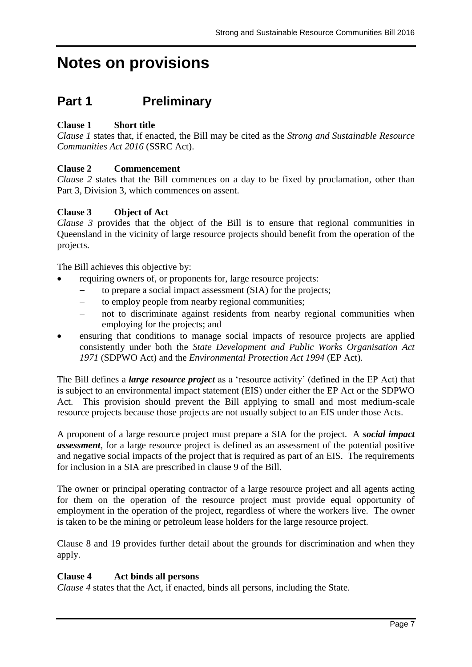# **Notes on provisions**

# **Part 1 Preliminary**

# **Clause 1 Short title**

*Clause 1* states that, if enacted, the Bill may be cited as the *Strong and Sustainable Resource Communities Act 2016* (SSRC Act).

## **Clause 2 Commencement**

*Clause 2* states that the Bill commences on a day to be fixed by proclamation, other than Part 3, Division 3, which commences on assent.

### **Clause 3 Object of Act**

*Clause 3* provides that the object of the Bill is to ensure that regional communities in Queensland in the vicinity of large resource projects should benefit from the operation of the projects.

The Bill achieves this objective by:

- requiring owners of, or proponents for, large resource projects:
	- to prepare a social impact assessment (SIA) for the projects;
	- to employ people from nearby regional communities;
	- not to discriminate against residents from nearby regional communities when employing for the projects; and
- ensuring that conditions to manage social impacts of resource projects are applied consistently under both the *State Development and Public Works Organisation Act 1971* (SDPWO Act) and the *Environmental Protection Act 1994* (EP Act).

The Bill defines a *large resource project* as a 'resource activity' (defined in the EP Act) that is subject to an environmental impact statement (EIS) under either the EP Act or the SDPWO Act. This provision should prevent the Bill applying to small and most medium-scale resource projects because those projects are not usually subject to an EIS under those Acts.

A proponent of a large resource project must prepare a SIA for the project. A *social impact assessment*, for a large resource project is defined as an assessment of the potential positive and negative social impacts of the project that is required as part of an EIS. The requirements for inclusion in a SIA are prescribed in clause 9 of the Bill.

The owner or principal operating contractor of a large resource project and all agents acting for them on the operation of the resource project must provide equal opportunity of employment in the operation of the project, regardless of where the workers live. The owner is taken to be the mining or petroleum lease holders for the large resource project.

Clause 8 and 19 provides further detail about the grounds for discrimination and when they apply.

#### **Clause 4 Act binds all persons**

*Clause 4* states that the Act, if enacted, binds all persons, including the State.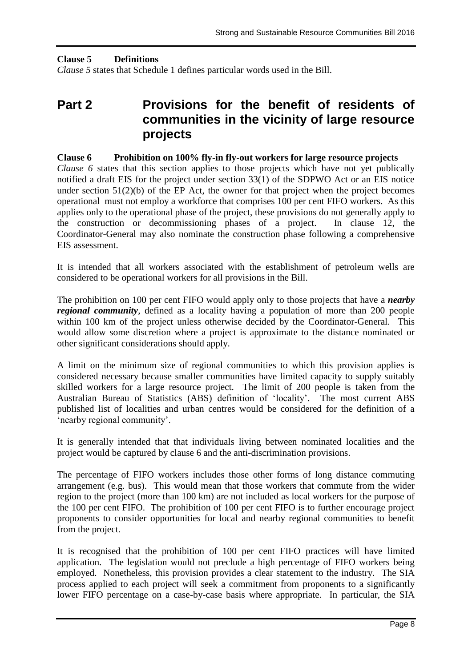### **Clause 5 Definitions**

*Clause 5* states that Schedule 1 defines particular words used in the Bill.

# **Part 2 Provisions for the benefit of residents of communities in the vicinity of large resource projects**

#### **Clause 6 Prohibition on 100% fly-in fly-out workers for large resource projects**

*Clause 6* states that this section applies to those projects which have not yet publically notified a draft EIS for the project under section 33(1) of the SDPWO Act or an EIS notice under section  $51(2)(b)$  of the EP Act, the owner for that project when the project becomes operational must not employ a workforce that comprises 100 per cent FIFO workers. As this applies only to the operational phase of the project, these provisions do not generally apply to the construction or decommissioning phases of a project. In clause 12, the Coordinator-General may also nominate the construction phase following a comprehensive EIS assessment.

It is intended that all workers associated with the establishment of petroleum wells are considered to be operational workers for all provisions in the Bill.

The prohibition on 100 per cent FIFO would apply only to those projects that have a *nearby regional community*, defined as a locality having a population of more than 200 people within 100 km of the project unless otherwise decided by the Coordinator-General. This would allow some discretion where a project is approximate to the distance nominated or other significant considerations should apply.

A limit on the minimum size of regional communities to which this provision applies is considered necessary because smaller communities have limited capacity to supply suitably skilled workers for a large resource project. The limit of 200 people is taken from the Australian Bureau of Statistics (ABS) definition of 'locality'. The most current ABS published list of localities and urban centres would be considered for the definition of a 'nearby regional community'.

It is generally intended that that individuals living between nominated localities and the project would be captured by clause 6 and the anti-discrimination provisions.

The percentage of FIFO workers includes those other forms of long distance commuting arrangement (e.g. bus). This would mean that those workers that commute from the wider region to the project (more than 100 km) are not included as local workers for the purpose of the 100 per cent FIFO. The prohibition of 100 per cent FIFO is to further encourage project proponents to consider opportunities for local and nearby regional communities to benefit from the project.

It is recognised that the prohibition of 100 per cent FIFO practices will have limited application. The legislation would not preclude a high percentage of FIFO workers being employed. Nonetheless, this provision provides a clear statement to the industry. The SIA process applied to each project will seek a commitment from proponents to a significantly lower FIFO percentage on a case-by-case basis where appropriate. In particular, the SIA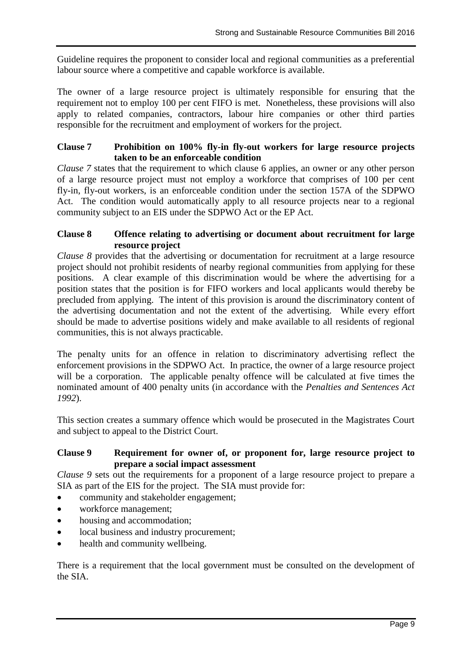Guideline requires the proponent to consider local and regional communities as a preferential labour source where a competitive and capable workforce is available.

The owner of a large resource project is ultimately responsible for ensuring that the requirement not to employ 100 per cent FIFO is met. Nonetheless, these provisions will also apply to related companies, contractors, labour hire companies or other third parties responsible for the recruitment and employment of workers for the project.

### **Clause 7 Prohibition on 100% fly-in fly-out workers for large resource projects taken to be an enforceable condition**

*Clause 7* states that the requirement to which clause 6 applies, an owner or any other person of a large resource project must not employ a workforce that comprises of 100 per cent fly-in, fly-out workers, is an enforceable condition under the section 157A of the SDPWO Act. The condition would automatically apply to all resource projects near to a regional community subject to an EIS under the SDPWO Act or the EP Act.

### **Clause 8 Offence relating to advertising or document about recruitment for large resource project**

*Clause 8* provides that the advertising or documentation for recruitment at a large resource project should not prohibit residents of nearby regional communities from applying for these positions. A clear example of this discrimination would be where the advertising for a position states that the position is for FIFO workers and local applicants would thereby be precluded from applying. The intent of this provision is around the discriminatory content of the advertising documentation and not the extent of the advertising. While every effort should be made to advertise positions widely and make available to all residents of regional communities, this is not always practicable.

The penalty units for an offence in relation to discriminatory advertising reflect the enforcement provisions in the SDPWO Act. In practice, the owner of a large resource project will be a corporation. The applicable penalty offence will be calculated at five times the nominated amount of 400 penalty units (in accordance with the *Penalties and Sentences Act 1992*).

This section creates a summary offence which would be prosecuted in the Magistrates Court and subject to appeal to the District Court.

## **Clause 9 Requirement for owner of, or proponent for, large resource project to prepare a social impact assessment**

*Clause 9* sets out the requirements for a proponent of a large resource project to prepare a SIA as part of the EIS for the project. The SIA must provide for:

- community and stakeholder engagement;
- workforce management;
- housing and accommodation;
- local business and industry procurement;
- health and community wellbeing.

There is a requirement that the local government must be consulted on the development of the SIA.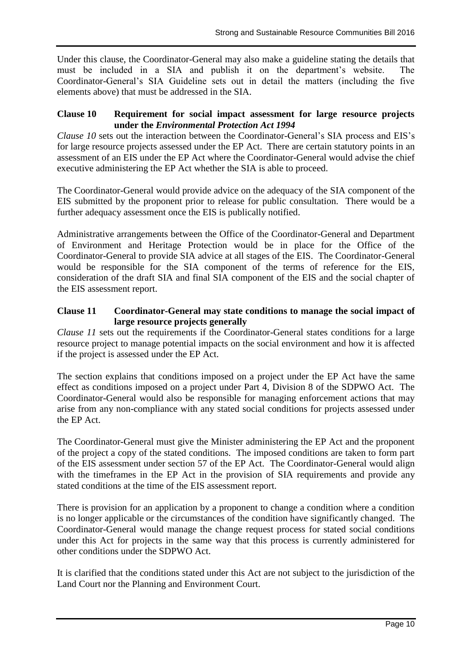Under this clause, the Coordinator-General may also make a guideline stating the details that must be included in a SIA and publish it on the department's website. The Coordinator-General's SIA Guideline sets out in detail the matters (including the five elements above) that must be addressed in the SIA.

### **Clause 10 Requirement for social impact assessment for large resource projects under the** *Environmental Protection Act 1994*

*Clause 10* sets out the interaction between the Coordinator-General's SIA process and EIS's for large resource projects assessed under the EP Act. There are certain statutory points in an assessment of an EIS under the EP Act where the Coordinator-General would advise the chief executive administering the EP Act whether the SIA is able to proceed.

The Coordinator-General would provide advice on the adequacy of the SIA component of the EIS submitted by the proponent prior to release for public consultation. There would be a further adequacy assessment once the EIS is publically notified.

Administrative arrangements between the Office of the Coordinator-General and Department of Environment and Heritage Protection would be in place for the Office of the Coordinator-General to provide SIA advice at all stages of the EIS. The Coordinator-General would be responsible for the SIA component of the terms of reference for the EIS, consideration of the draft SIA and final SIA component of the EIS and the social chapter of the EIS assessment report.

### **Clause 11 Coordinator-General may state conditions to manage the social impact of large resource projects generally**

*Clause 11* sets out the requirements if the Coordinator-General states conditions for a large resource project to manage potential impacts on the social environment and how it is affected if the project is assessed under the EP Act.

The section explains that conditions imposed on a project under the EP Act have the same effect as conditions imposed on a project under Part 4, Division 8 of the SDPWO Act. The Coordinator-General would also be responsible for managing enforcement actions that may arise from any non-compliance with any stated social conditions for projects assessed under the EP Act.

The Coordinator-General must give the Minister administering the EP Act and the proponent of the project a copy of the stated conditions. The imposed conditions are taken to form part of the EIS assessment under section 57 of the EP Act*.* The Coordinator-General would align with the timeframes in the EP Act in the provision of SIA requirements and provide any stated conditions at the time of the EIS assessment report.

There is provision for an application by a proponent to change a condition where a condition is no longer applicable or the circumstances of the condition have significantly changed. The Coordinator-General would manage the change request process for stated social conditions under this Act for projects in the same way that this process is currently administered for other conditions under the SDPWO Act.

It is clarified that the conditions stated under this Act are not subject to the jurisdiction of the Land Court nor the Planning and Environment Court.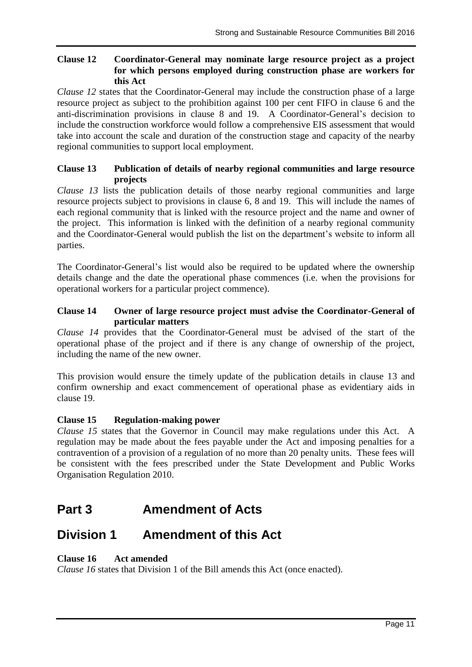### **Clause 12 Coordinator-General may nominate large resource project as a project for which persons employed during construction phase are workers for this Act**

*Clause 12* states that the Coordinator-General may include the construction phase of a large resource project as subject to the prohibition against 100 per cent FIFO in clause 6 and the anti-discrimination provisions in clause 8 and 19. A Coordinator-General's decision to include the construction workforce would follow a comprehensive EIS assessment that would take into account the scale and duration of the construction stage and capacity of the nearby regional communities to support local employment.

### **Clause 13 Publication of details of nearby regional communities and large resource projects**

*Clause 13* lists the publication details of those nearby regional communities and large resource projects subject to provisions in clause 6, 8 and 19. This will include the names of each regional community that is linked with the resource project and the name and owner of the project. This information is linked with the definition of a nearby regional community and the Coordinator-General would publish the list on the department's website to inform all parties.

The Coordinator-General's list would also be required to be updated where the ownership details change and the date the operational phase commences (i.e. when the provisions for operational workers for a particular project commence).

### **Clause 14 Owner of large resource project must advise the Coordinator-General of particular matters**

*Clause 14* provides that the Coordinator-General must be advised of the start of the operational phase of the project and if there is any change of ownership of the project, including the name of the new owner.

This provision would ensure the timely update of the publication details in clause 13 and confirm ownership and exact commencement of operational phase as evidentiary aids in clause 19.

## **Clause 15 Regulation-making power**

*Clause 15* states that the Governor in Council may make regulations under this Act. A regulation may be made about the fees payable under the Act and imposing penalties for a contravention of a provision of a regulation of no more than 20 penalty units. These fees will be consistent with the fees prescribed under the State Development and Public Works Organisation Regulation 2010.

# **Part 3 Amendment of Acts**

# **Division 1 Amendment of this Act**

## **Clause 16 Act amended**

*Clause 16* states that Division 1 of the Bill amends this Act (once enacted).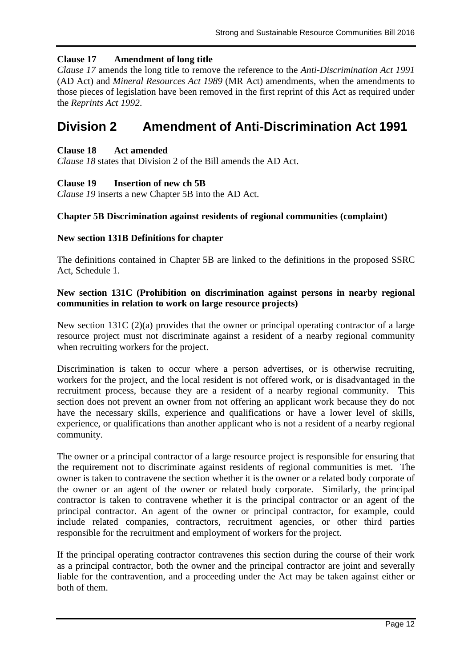## **Clause 17 Amendment of long title**

*Clause 17* amends the long title to remove the reference to the *Anti-Discrimination Act 1991* (AD Act) and *Mineral Resources Act 1989* (MR Act) amendments, when the amendments to those pieces of legislation have been removed in the first reprint of this Act as required under the *Reprints Act 1992*.

# **Division 2 Amendment of Anti-Discrimination Act 1991**

#### **Clause 18 Act amended**

*Clause 18* states that Division 2 of the Bill amends the AD Act.

### **Clause 19 Insertion of new ch 5B**

*Clause 19* inserts a new Chapter 5B into the AD Act.

#### **Chapter 5B Discrimination against residents of regional communities (complaint)**

### **New section 131B Definitions for chapter**

The definitions contained in Chapter 5B are linked to the definitions in the proposed SSRC Act, Schedule 1.

### **New section 131C (Prohibition on discrimination against persons in nearby regional communities in relation to work on large resource projects)**

New section 131C (2)(a) provides that the owner or principal operating contractor of a large resource project must not discriminate against a resident of a nearby regional community when recruiting workers for the project.

Discrimination is taken to occur where a person advertises, or is otherwise recruiting, workers for the project, and the local resident is not offered work, or is disadvantaged in the recruitment process, because they are a resident of a nearby regional community. This section does not prevent an owner from not offering an applicant work because they do not have the necessary skills, experience and qualifications or have a lower level of skills, experience, or qualifications than another applicant who is not a resident of a nearby regional community.

The owner or a principal contractor of a large resource project is responsible for ensuring that the requirement not to discriminate against residents of regional communities is met. The owner is taken to contravene the section whether it is the owner or a related body corporate of the owner or an agent of the owner or related body corporate. Similarly, the principal contractor is taken to contravene whether it is the principal contractor or an agent of the principal contractor. An agent of the owner or principal contractor, for example, could include related companies, contractors, recruitment agencies, or other third parties responsible for the recruitment and employment of workers for the project.

If the principal operating contractor contravenes this section during the course of their work as a principal contractor, both the owner and the principal contractor are joint and severally liable for the contravention, and a proceeding under the Act may be taken against either or both of them.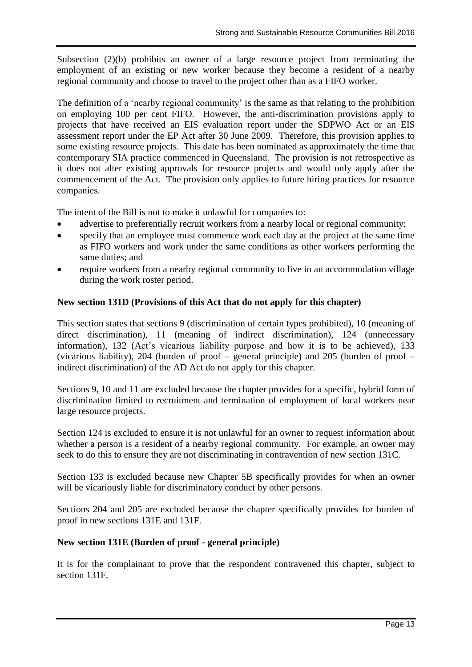Subsection (2)(b) prohibits an owner of a large resource project from terminating the employment of an existing or new worker because they become a resident of a nearby regional community and choose to travel to the project other than as a FIFO worker.

The definition of a 'nearby regional community' is the same as that relating to the prohibition on employing 100 per cent FIFO. However, the anti-discrimination provisions apply to projects that have received an EIS evaluation report under the SDPWO Act or an EIS assessment report under the EP Act after 30 June 2009. Therefore, this provision applies to some existing resource projects. This date has been nominated as approximately the time that contemporary SIA practice commenced in Queensland. The provision is not retrospective as it does not alter existing approvals for resource projects and would only apply after the commencement of the Act. The provision only applies to future hiring practices for resource companies.

The intent of the Bill is not to make it unlawful for companies to:

- advertise to preferentially recruit workers from a nearby local or regional community;
- specify that an employee must commence work each day at the project at the same time as FIFO workers and work under the same conditions as other workers performing the same duties; and
- require workers from a nearby regional community to live in an accommodation village during the work roster period.

### **New section 131D (Provisions of this Act that do not apply for this chapter)**

This section states that sections 9 (discrimination of certain types prohibited), 10 (meaning of direct discrimination), 11 (meaning of indirect discrimination), 124 (unnecessary information), 132 (Act's vicarious liability purpose and how it is to be achieved), 133 (vicarious liability), 204 (burden of proof – general principle) and 205 (burden of proof – indirect discrimination) of the AD Act do not apply for this chapter.

Sections 9, 10 and 11 are excluded because the chapter provides for a specific, hybrid form of discrimination limited to recruitment and termination of employment of local workers near large resource projects.

Section 124 is excluded to ensure it is not unlawful for an owner to request information about whether a person is a resident of a nearby regional community. For example, an owner may seek to do this to ensure they are not discriminating in contravention of new section 131C.

Section 133 is excluded because new Chapter 5B specifically provides for when an owner will be vicariously liable for discriminatory conduct by other persons.

Sections 204 and 205 are excluded because the chapter specifically provides for burden of proof in new sections 131E and 131F.

### **New section 131E (Burden of proof - general principle)**

It is for the complainant to prove that the respondent contravened this chapter, subject to section 131F.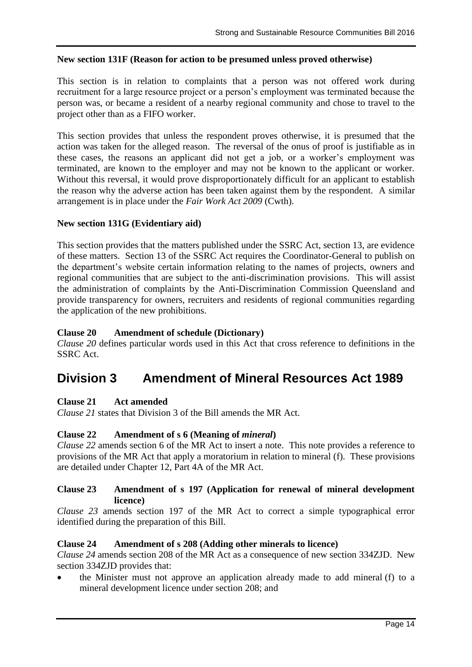### **New section 131F (Reason for action to be presumed unless proved otherwise)**

This section is in relation to complaints that a person was not offered work during recruitment for a large resource project or a person's employment was terminated because the person was, or became a resident of a nearby regional community and chose to travel to the project other than as a FIFO worker.

This section provides that unless the respondent proves otherwise, it is presumed that the action was taken for the alleged reason. The reversal of the onus of proof is justifiable as in these cases, the reasons an applicant did not get a job, or a worker's employment was terminated, are known to the employer and may not be known to the applicant or worker. Without this reversal, it would prove disproportionately difficult for an applicant to establish the reason why the adverse action has been taken against them by the respondent. A similar arrangement is in place under the *Fair Work Act 2009* (Cwth).

#### **New section 131G (Evidentiary aid)**

This section provides that the matters published under the SSRC Act, section 13, are evidence of these matters. Section 13 of the SSRC Act requires the Coordinator-General to publish on the department's website certain information relating to the names of projects, owners and regional communities that are subject to the anti-discrimination provisions. This will assist the administration of complaints by the Anti-Discrimination Commission Queensland and provide transparency for owners, recruiters and residents of regional communities regarding the application of the new prohibitions.

#### **Clause 20 Amendment of schedule (Dictionary)**

*Clause 20* defines particular words used in this Act that cross reference to definitions in the SSRC Act.

# **Division 3 Amendment of Mineral Resources Act 1989**

#### **Clause 21 Act amended**

*Clause 21* states that Division 3 of the Bill amends the MR Act.

#### **Clause 22 Amendment of s 6 (Meaning of** *mineral***)**

*Clause 22* amends section 6 of the MR Act to insert a note. This note provides a reference to provisions of the MR Act that apply a moratorium in relation to mineral (f). These provisions are detailed under Chapter 12, Part 4A of the MR Act.

### **Clause 23 Amendment of s 197 (Application for renewal of mineral development licence)**

*Clause 23* amends section 197 of the MR Act to correct a simple typographical error identified during the preparation of this Bill.

#### **Clause 24 Amendment of s 208 (Adding other minerals to licence)**

*Clause 24* amends section 208 of the MR Act as a consequence of new section 334ZJD. New section 334ZJD provides that:

 the Minister must not approve an application already made to add mineral (f) to a mineral development licence under section 208; and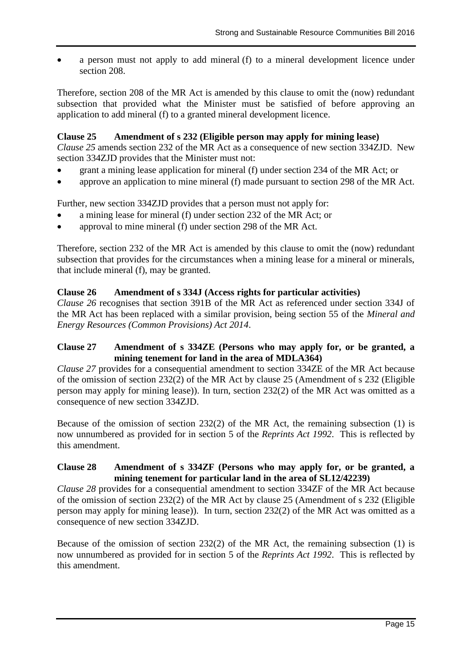a person must not apply to add mineral (f) to a mineral development licence under section 208.

Therefore, section 208 of the MR Act is amended by this clause to omit the (now) redundant subsection that provided what the Minister must be satisfied of before approving an application to add mineral (f) to a granted mineral development licence.

### **Clause 25 Amendment of s 232 (Eligible person may apply for mining lease)**

*Clause 25* amends section 232 of the MR Act as a consequence of new section 334ZJD. New section 334ZJD provides that the Minister must not:

- grant a mining lease application for mineral (f) under section 234 of the MR Act; or
- approve an application to mine mineral (f) made pursuant to section 298 of the MR Act.

Further, new section 334ZJD provides that a person must not apply for:

- a mining lease for mineral (f) under section 232 of the MR Act; or
- approval to mine mineral (f) under section 298 of the MR Act.

Therefore, section 232 of the MR Act is amended by this clause to omit the (now) redundant subsection that provides for the circumstances when a mining lease for a mineral or minerals, that include mineral (f), may be granted.

#### **Clause 26 Amendment of s 334J (Access rights for particular activities)**

*Clause 26* recognises that section 391B of the MR Act as referenced under section 334J of the MR Act has been replaced with a similar provision, being section 55 of the *Mineral and Energy Resources (Common Provisions) Act 2014*.

### **Clause 27 Amendment of s 334ZE (Persons who may apply for, or be granted, a mining tenement for land in the area of MDLA364)**

*Clause 27* provides for a consequential amendment to section 334ZE of the MR Act because of the omission of section 232(2) of the MR Act by clause 25 (Amendment of s 232 (Eligible person may apply for mining lease)). In turn, section 232(2) of the MR Act was omitted as a consequence of new section 334ZJD.

Because of the omission of section 232(2) of the MR Act, the remaining subsection (1) is now unnumbered as provided for in section 5 of the *Reprints Act 1992*. This is reflected by this amendment.

### **Clause 28 Amendment of s 334ZF (Persons who may apply for, or be granted, a mining tenement for particular land in the area of SL12/42239)**

*Clause 28* provides for a consequential amendment to section 334ZF of the MR Act because of the omission of section 232(2) of the MR Act by clause 25 (Amendment of s 232 (Eligible person may apply for mining lease)). In turn, section 232(2) of the MR Act was omitted as a consequence of new section 334ZJD.

Because of the omission of section 232(2) of the MR Act, the remaining subsection (1) is now unnumbered as provided for in section 5 of the *Reprints Act 1992*. This is reflected by this amendment.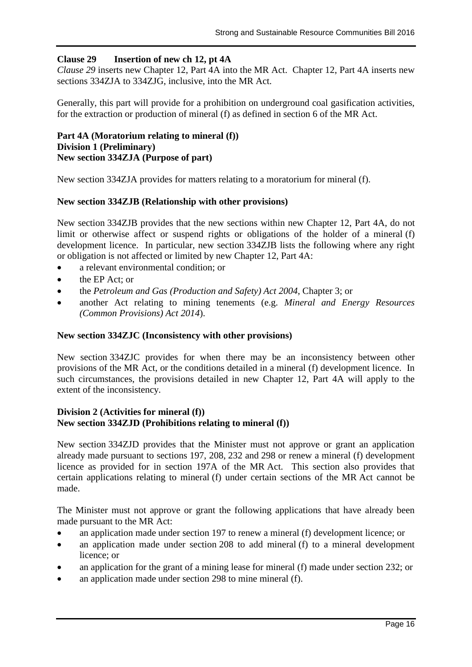### **Clause 29 Insertion of new ch 12, pt 4A**

*Clause 29* inserts new Chapter 12, Part 4A into the MR Act. Chapter 12, Part 4A inserts new sections 334ZJA to 334ZJG, inclusive, into the MR Act.

Generally, this part will provide for a prohibition on underground coal gasification activities, for the extraction or production of mineral (f) as defined in section 6 of the MR Act.

### **Part 4A (Moratorium relating to mineral (f)) Division 1 (Preliminary) New section 334ZJA (Purpose of part)**

New section 334ZJA provides for matters relating to a moratorium for mineral (f).

### **New section 334ZJB (Relationship with other provisions)**

New section 334ZJB provides that the new sections within new Chapter 12, Part 4A, do not limit or otherwise affect or suspend rights or obligations of the holder of a mineral (f) development licence. In particular, new section 334ZJB lists the following where any right or obligation is not affected or limited by new Chapter 12, Part 4A:

- a relevant environmental condition; or
- the EP Act: or
- the *Petroleum and Gas (Production and Safety) Act 2004*, Chapter 3; or
- another Act relating to mining tenements (e.g. *Mineral and Energy Resources (Common Provisions) Act 2014*).

### **New section 334ZJC (Inconsistency with other provisions)**

New section 334ZJC provides for when there may be an inconsistency between other provisions of the MR Act, or the conditions detailed in a mineral (f) development licence. In such circumstances, the provisions detailed in new Chapter 12, Part 4A will apply to the extent of the inconsistency.

### **Division 2 (Activities for mineral (f)) New section 334ZJD (Prohibitions relating to mineral (f))**

New section 334ZJD provides that the Minister must not approve or grant an application already made pursuant to sections 197, 208, 232 and 298 or renew a mineral (f) development licence as provided for in section 197A of the MR Act. This section also provides that certain applications relating to mineral (f) under certain sections of the MR Act cannot be made.

The Minister must not approve or grant the following applications that have already been made pursuant to the MR Act:

- an application made under section 197 to renew a mineral (f) development licence; or
- an application made under section 208 to add mineral (f) to a mineral development licence; or
- an application for the grant of a mining lease for mineral (f) made under section 232; or
- an application made under section 298 to mine mineral (f).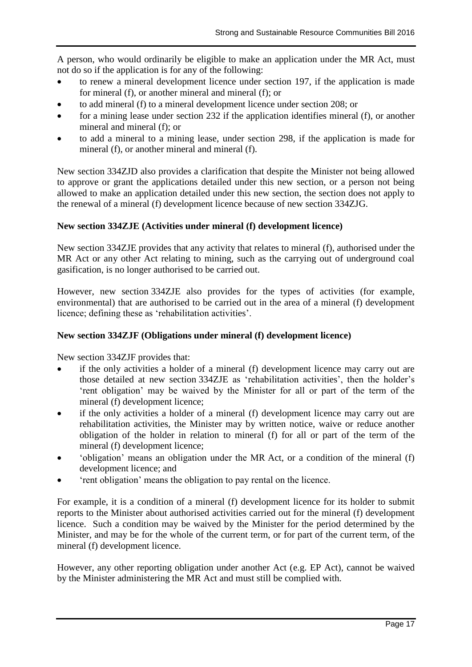A person, who would ordinarily be eligible to make an application under the MR Act, must not do so if the application is for any of the following:

- to renew a mineral development licence under section 197, if the application is made for mineral (f), or another mineral and mineral (f); or
- to add mineral (f) to a mineral development licence under section 208; or
- for a mining lease under section 232 if the application identifies mineral (f), or another mineral and mineral (f); or
- to add a mineral to a mining lease, under section 298, if the application is made for mineral (f), or another mineral and mineral (f).

New section 334ZJD also provides a clarification that despite the Minister not being allowed to approve or grant the applications detailed under this new section, or a person not being allowed to make an application detailed under this new section, the section does not apply to the renewal of a mineral (f) development licence because of new section 334ZJG.

## **New section 334ZJE (Activities under mineral (f) development licence)**

New section 334ZJE provides that any activity that relates to mineral (f), authorised under the MR Act or any other Act relating to mining, such as the carrying out of underground coal gasification, is no longer authorised to be carried out.

However, new section 334ZJE also provides for the types of activities (for example, environmental) that are authorised to be carried out in the area of a mineral (f) development licence; defining these as 'rehabilitation activities'.

# **New section 334ZJF (Obligations under mineral (f) development licence)**

New section 334ZJF provides that:

- if the only activities a holder of a mineral (f) development licence may carry out are those detailed at new section 334ZJE as 'rehabilitation activities', then the holder's 'rent obligation' may be waived by the Minister for all or part of the term of the mineral (f) development licence;
- if the only activities a holder of a mineral (f) development licence may carry out are rehabilitation activities, the Minister may by written notice, waive or reduce another obligation of the holder in relation to mineral (f) for all or part of the term of the mineral (f) development licence;
- 'obligation' means an obligation under the MR Act, or a condition of the mineral (f) development licence; and
- 'rent obligation' means the obligation to pay rental on the licence.

For example, it is a condition of a mineral (f) development licence for its holder to submit reports to the Minister about authorised activities carried out for the mineral (f) development licence. Such a condition may be waived by the Minister for the period determined by the Minister, and may be for the whole of the current term, or for part of the current term, of the mineral (f) development licence.

However, any other reporting obligation under another Act (e.g. EP Act), cannot be waived by the Minister administering the MR Act and must still be complied with.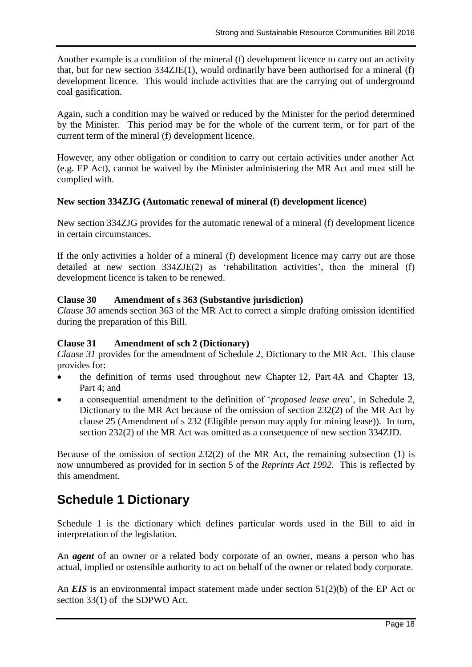Another example is a condition of the mineral (f) development licence to carry out an activity that, but for new section 334ZJE(1), would ordinarily have been authorised for a mineral (f) development licence. This would include activities that are the carrying out of underground coal gasification.

Again, such a condition may be waived or reduced by the Minister for the period determined by the Minister. This period may be for the whole of the current term, or for part of the current term of the mineral (f) development licence.

However, any other obligation or condition to carry out certain activities under another Act (e.g. EP Act), cannot be waived by the Minister administering the MR Act and must still be complied with.

### **New section 334ZJG (Automatic renewal of mineral (f) development licence)**

New section 334ZJG provides for the automatic renewal of a mineral (f) development licence in certain circumstances.

If the only activities a holder of a mineral (f) development licence may carry out are those detailed at new section 334ZJE(2) as 'rehabilitation activities', then the mineral (f) development licence is taken to be renewed.

## **Clause 30 Amendment of s 363 (Substantive jurisdiction)**

*Clause 30* amends section 363 of the MR Act to correct a simple drafting omission identified during the preparation of this Bill.

## **Clause 31 Amendment of sch 2 (Dictionary)**

*Clause 31* provides for the amendment of Schedule 2, Dictionary to the MR Act. This clause provides for:

- the definition of terms used throughout new Chapter 12, Part 4A and Chapter 13, Part 4; and
- a consequential amendment to the definition of '*proposed lease area*', in Schedule 2, Dictionary to the MR Act because of the omission of section 232(2) of the MR Act by clause 25 (Amendment of s 232 (Eligible person may apply for mining lease)). In turn, section 232(2) of the MR Act was omitted as a consequence of new section 334ZJD.

Because of the omission of section 232(2) of the MR Act, the remaining subsection (1) is now unnumbered as provided for in section 5 of the *Reprints Act 1992*. This is reflected by this amendment.

# **Schedule 1 Dictionary**

Schedule 1 is the dictionary which defines particular words used in the Bill to aid in interpretation of the legislation.

An *agent* of an owner or a related body corporate of an owner, means a person who has actual, implied or ostensible authority to act on behalf of the owner or related body corporate.

An *EIS* is an environmental impact statement made under section 51(2)(b) of the EP Act or section 33(1) of the SDPWO Act.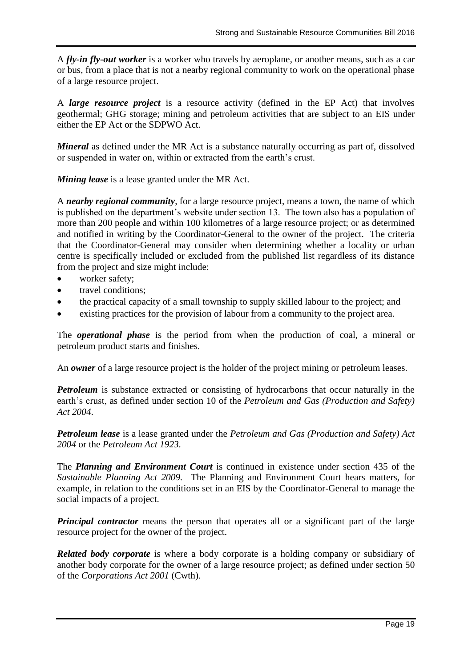A *fly-in fly-out worker* is a worker who travels by aeroplane, or another means, such as a car or bus, from a place that is not a nearby regional community to work on the operational phase of a large resource project.

A *large resource project* is a resource activity (defined in the EP Act) that involves geothermal; GHG storage; mining and petroleum activities that are subject to an EIS under either the EP Act or the SDPWO Act.

*Mineral* as defined under the MR Act is a substance naturally occurring as part of, dissolved or suspended in water on, within or extracted from the earth's crust.

*Mining lease* is a lease granted under the MR Act.

A *nearby regional community*, for a large resource project, means a town, the name of which is published on the department's website under section 13. The town also has a population of more than 200 people and within 100 kilometres of a large resource project; or as determined and notified in writing by the Coordinator-General to the owner of the project. The criteria that the Coordinator-General may consider when determining whether a locality or urban centre is specifically included or excluded from the published list regardless of its distance from the project and size might include:

- worker safety;
- travel conditions;
- the practical capacity of a small township to supply skilled labour to the project; and
- existing practices for the provision of labour from a community to the project area.

The *operational phase* is the period from when the production of coal, a mineral or petroleum product starts and finishes.

An *owner* of a large resource project is the holder of the project mining or petroleum leases.

*Petroleum* is substance extracted or consisting of hydrocarbons that occur naturally in the earth's crust, as defined under section 10 of the *Petroleum and Gas (Production and Safety) Act 2004*.

*Petroleum lease* is a lease granted under the *Petroleum and Gas (Production and Safety) Act 2004* or the *Petroleum Act 1923.*

The *Planning and Environment Court* is continued in existence under section 435 of the *Sustainable Planning Act 2009.* The Planning and Environment Court hears matters, for example, in relation to the conditions set in an EIS by the Coordinator-General to manage the social impacts of a project.

*Principal contractor* means the person that operates all or a significant part of the large resource project for the owner of the project.

*Related body corporate* is where a body corporate is a holding company or subsidiary of another body corporate for the owner of a large resource project; as defined under section 50 of the *Corporations Act 2001* (Cwth).